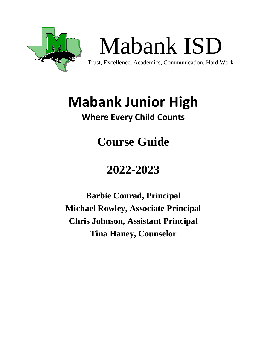

# **Mabank Junior High**

# **Where Every Child Counts**

# **Course Guide**

# **2022-2023**

**Barbie Conrad, Principal Michael Rowley, Associate Principal Chris Johnson, Assistant Principal Tina Haney, Counselor**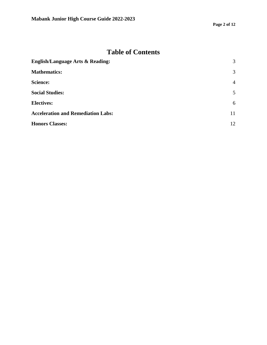# **Table of Contents**

| <b>English/Language Arts &amp; Reading:</b> | 3              |
|---------------------------------------------|----------------|
| <b>Mathematics:</b>                         | 3              |
| <b>Science:</b>                             | $\overline{4}$ |
| <b>Social Studies:</b>                      | 5              |
| <b>Electives:</b>                           | 6              |
| <b>Acceleration and Remediation Labs:</b>   | 11             |
| <b>Honors Classes:</b>                      | 12             |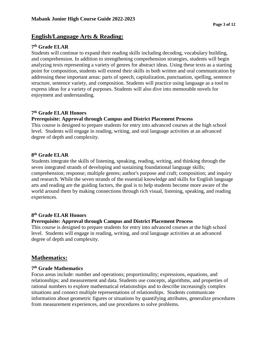# <span id="page-2-0"></span>**English/Language Arts & Reading:**

# **7th Grade ELAR**

Students will continue to expand their reading skills including decoding, vocabulary building, and comprehension. In addition to strengthening comprehension strategies, students will begin analyzing texts representing a variety of genres for abstract ideas. Using these texts as a starting point for composition, students will extend their skills in both written and oral communication by addressing these important areas: parts of speech, capitalization, punctuation, spelling, sentence structure, sentence variety, and composition. Students will practice using language as a tool to express ideas for a variety of purposes. Students will also dive into memorable novels for enjoyment and understanding.

# **7th Grade ELAR Honors**

# **Prerequisite: Approval through Campus and District Placement Process**

This course is designed to prepare students for entry into advanced courses at the high school level. Students will engage in reading, writing, and oral language activities at an advanced degree of depth and complexity.

## **8th Grade ELAR**

Students integrate the skills of listening, speaking, reading, writing, and thinking through the seven integrated strands of developing and sustaining foundational language skills; comprehension; response; multiple genres; author's purpose and craft; composition; and inquiry and research. While the seven strands of the essential knowledge and skills for English language arts and reading are the guiding factors, the goal is to help students become more aware of the world around them by making connections through rich visual, listening, speaking, and reading experiences.

# **8th Grade ELAR Honors**

# **Prerequisite: Approval through Campus and District Placement Process**

This course is designed to prepare students for entry into advanced courses at the high school level. Students will engage in reading, writing, and oral language activities at an advanced degree of depth and complexity.

# <span id="page-2-1"></span>**Mathematics:**

# **7th Grade Mathematics**

Focus areas include: number and operations; proportionality; expressions, equations, and relationships; and measurement and data. Students use concepts, algorithms, and properties of rational numbers to explore mathematical relationships and to describe increasingly complex situations and connect multiple representations of relationships. Students communicate information about geometric figures or situations by quantifying attributes, generalize procedures from measurement experiences, and use procedures to solve problems.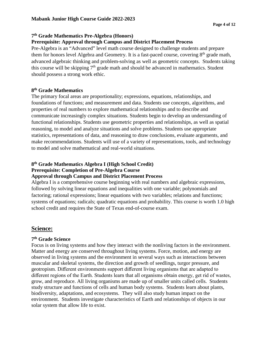# **7th Grade Mathematics Pre-Algebra (Honors)**

# **Prerequisite: Approval through Campus and District Placement Process**

Pre-Algebra is an "Advanced" level math course designed to challenge students and prepare them for honors level Algebra and Geometry. It is a fast-paced course, covering  $8<sup>th</sup>$  grade math, advanced algebraic thinking and problem-solving as well as geometric concepts. Students taking this course will be skipping  $7<sup>th</sup>$  grade math and should be advanced in mathematics. Student should possess a strong work ethic.

# **8th Grade Mathematics**

The primary focal areas are proportionality; expressions, equations, relationships, and foundations of functions; and measurement and data. Students use concepts, algorithms, and properties of real numbers to explore mathematical relationships and to describe and communicate increasingly complex situations. Students begin to develop an understanding of functional relationships. Students use geometric properties and relationships, as well as spatial reasoning, to model and analyze situations and solve problems. Students use appropriate statistics, representations of data, and reasoning to draw conclusions, evaluate arguments, and make recommendations. Students will use of a variety of representations, tools, and technology to model and solve mathematical and real‐world situations.

#### **8th Grade Mathematics Algebra I (High School Credit) Prerequisite: Completion of Pre-Algebra Course Approval through Campus and District Placement Process**

Algebra I is a comprehensive course beginning with real numbers and algebraic expressions, followed by solving linear equations and inequalities with one variable; polynomials and factoring; rational expressions; linear equations with two variables; relations and functions; systems of equations; radicals; quadratic equations and probability. This course is worth 1.0 high school credit and requires the State of Texas end-of-course exam.

# <span id="page-3-0"></span>**Science:**

# **7th Grade Science**

Focus is on living systems and how they interact with the nonliving factors in the environment. Matter and energy are conserved throughout living systems. Force, motion, and energy are observed in living systems and the environment in several ways such as interactions between muscular and skeletal systems, the direction and growth of seedlings, turgor pressure, and geotropism. Different environments support different living organisms that are adapted to different regions of the Earth. Students learn that all organisms obtain energy, get rid of wastes, grow, and reproduce. All living organisms are made up of smaller units called cells. Students study structure and functions of cells and human body systems. Students learn about plants, biodiversity, adaptations, and ecosystems. They will also study human impact on the environment. Students investigate characteristics of Earth and relationships of objects in our solar system that allow life to exist.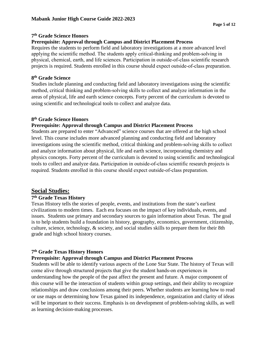## **7th Grade Science Honors**

## **Prerequisite: Approval through Campus and District Placement Process**

Requires the students to perform field and laboratory investigations at a more advanced level applying the scientific method. The students apply critical-thinking and problem-solving in physical, chemical, earth, and life sciences. Participation in outside‐of‐class scientific research projects is required. Students enrolled in this course should expect outside‐of‐class preparation.

#### **8th Grade Science**

Studies include planning and conducting field and laboratory investigations using the scientific method, critical thinking and problem‐solving skills to collect and analyze information in the areas of physical, life and earth science concepts. Forty percent of the curriculum is devoted to using scientific and technological tools to collect and analyze data.

# **8th Grade Science Honors**

# **Prerequisite: Approval through Campus and District Placement Process**

Students are prepared to enter "Advanced" science courses that are offered at the high school level. This course includes more advanced planning and conducting field and laboratory investigations using the scientific method, critical thinking and problem‐solving skills to collect and analyze information about physical, life and earth science, incorporating chemistry and physics concepts. Forty percent of the curriculum is devoted to using scientific and technological tools to collect and analyze data. Participation in outside‐of‐class scientific research projects is required. Students enrolled in this course should expect outside‐of‐class preparation.

# <span id="page-4-0"></span>**Social Studies:**

#### **7th Grade Texas History**

Texas History tells the stories of people, events, and institutions from the state's earliest civilizations to modern times. Each era focuses on the impact of key individuals, events, and issues. Students use primary and secondary sources to gain information about Texas. The goal is to help students build a foundation in history, geography, economics, government, citizenship, culture, science, technology, & society, and social studies skills to prepare them for their 8th grade and high school history courses.

# **7th Grade Texas History Honors**

# **Prerequisite: Approval through Campus and District Placement Process**

Students will be able to identify various aspects of the Lone Star State. The history of Texas will come alive through structured projects that give the student hands‐on experiences in understanding how the people of the past affect the present and future. A major component of this course will be the interaction of students within group settings, and their ability to recognize relationships and draw conclusions among their peers. Whether students are learning how to read or use maps or determining how Texas gained its independence, organization and clarity of ideas will be important to their success. Emphasis is on development of problem-solving skills, as well as learning decision-making processes.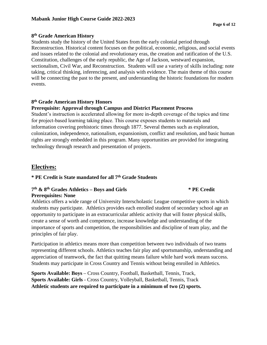# **8th Grade American History**

Students study the history of the United States from the early colonial period through Reconstruction. Historical content focuses on the political, economic, religious, and social events and issues related to the colonial and revolutionary eras, the creation and ratification of the U.S. Constitution, challenges of the early republic, the Age of Jackson, westward expansion, sectionalism, Civil War, and Reconstruction. Students will use a variety of skills including: note taking, critical thinking, inferencing, and analysis with evidence. The main theme of this course will be connecting the past to the present, and understanding the historic foundations for modern events.

# **8th Grade American History Honors**

# **Prerequisite: Approval through Campus and District Placement Process**

Student's instruction is accelerated allowing for more in‐depth coverage of the topics and time for project-based learning taking place. This course exposes students to materials and information covering prehistoric times through 1877. Several themes such as exploration, colonization, independence, nationalism, expansionism, conflict and resolution, and basic human rights are strongly embedded in this program. Many opportunities are provided for integrating technology through research and presentation of projects.

# <span id="page-5-0"></span>**Electives:**

# **\* PE Credit is State mandated for all 7th Grade Students**

# **7th & 8th Grades Athletics – Boys and Girls \* PE Credit Prerequisites: None**

Athletics offers a wide range of University Interscholastic League competitive sports in which students may participate. Athletics provides each enrolled student of secondary school age an opportunity to participate in an extracurricular athletic activity that will foster physical skills, create a sense of worth and competence, increase knowledge and understanding of the importance of sports and competition, the responsibilities and discipline of team play, and the principles of fair play.

Participation in athletics means more than competition between two individuals of two teams representing different schools. Athletics teaches fair play and sportsmanship, understanding and appreciation of teamwork, the fact that quitting means failure while hard work means success. Students may participate in Cross Country and Tennis without being enrolled in Athletics.

**Sports Available: Boys** – Cross Country, Football, Basketball, Tennis, Track, **Sports Available: Girls** - Cross Country, Volleyball, Basketball, Tennis, Track **Athletic students are required to participate in a minimum of two (2) sports.**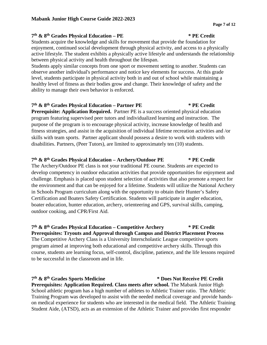# **7th & 8th Grades Physical Education – PE \* PE Credit**

Students acquire the knowledge and skills for movement that provide the foundation for enjoyment, continued social development through physical activity, and access to a physically active lifestyle. The student exhibits a physically active lifestyle and understands the relationship between physical activity and health throughout the lifespan.

Students apply similar concepts from one sport or movement setting to another. Students can observe another individual's performance and notice key elements for success. At this grade level, students participate in physical activity both in and out of school while maintaining a healthy level of fitness as their bodies grow and change. Their knowledge of safety and the ability to manage their own behavior is enforced.

# **7th & 8th Grades Physical Education – Partner PE \* PE Credit**

**Prerequisite: Application Required.** Partner PE is a success oriented physical education program featuring supervised peer tutors and individualized learning and instruction. The purpose of the program is to encourage physical activity, increase knowledge of health and fitness strategies, and assist in the acquisition of individual lifetime recreation activities and /or skills with team sports. Partner applicant should possess a desire to work with students with disabilities. Partners, (Peer Tutors), are limited to approximately ten (10) students.

## **7th & 8th Grades Physical Education – Archery/Outdoor PE \* PE Credit**

The Archery/Outdoor PE class is not your traditional PE course. Students are expected to develop competency in outdoor education activities that provide opportunities for enjoyment and challenge. Emphasis is placed upon student selection of activities that also promote a respect for the environment and that can be enjoyed for a lifetime. Students will utilize the National Archery in Schools Program curriculum along with the opportunity to obtain their Hunter's Safety Certification and Boaters Safety Certification. Students will participate in angler education, boater education, hunter education, archery, orienteering and GPS, survival skills, camping, outdoor cooking, and CPR/First Aid.

#### **7th & 8th Grades Physical Education – Competitive Archery \* PE Credit Prerequisites: Tryouts and Approval through Campus and District Placement Process**

The Competitive Archery Class is a University Interscholastic League competitive sports program aimed at improving both educational and competitive archery skills. Through this course, students are learning focus, self-control, discipline, patience, and the life lessons required to be successful in the classroom and in life.

# **7th & 8th Grades Sports Medicine \* Does Not Receive PE Credit**

**Prerequisites: Application Required. Class meets after school.** The Mabank Junior High School athletic program has a high number of athletes to Athletic Trainer ratio. The Athletic Training Program was developed to assist with the needed medical coverage and provide handson medical experience for students who are interested in the medical field. The Athletic Training Student Aide, (ATSD), acts as an extension of the Athletic Trainer and provides first responder

#### **Page 7 of 12**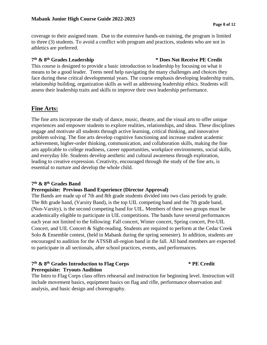coverage to their assigned team. Due to the extensive hands-on training, the program is limited to three (3) students. To avoid a conflict with program and practices, students who are not in athletics are preferred.

# **7th & 8th Grades Leadership \* Does Not Receive PE Credit**

This course is designed to provide a basic introduction to leadership by focusing on what it means to be a good leader. Teens need help navigating the many challenges and choices they face during these critical developmental years. The course emphasis developing leadership traits, relationship building, organization skills as well as addressing leadership ethics. Students will assess their leadership traits and skills to improve their own leadership performance.

# **Fine Arts:**

The fine arts incorporate the study of dance, music, theatre, and the visual arts to offer unique experiences and empower students to explore realities, relationships, and ideas. These disciplines engage and motivate all students through active learning, critical thinking, and innovative problem solving. The fine arts develop cognitive functioning and increase student academic achievement, higher-order thinking, communication, and collaboration skills, making the fine arts applicable to college readiness, career opportunities, workplace environments, social skills, and everyday life. Students develop aesthetic and cultural awareness through exploration, leading to creative expression. Creativity, encouraged through the study of the fine arts, is essential to nurture and develop the whole child.

# **7th & 8th Grades Band**

# **Prerequisite: Previous Band Experience (Director Approval)**

The Bands are made up of 7th and 8th grade students divided into two class periods by grade. The 8th grade band, (Varsity Band), is the top UIL competing band and the 7th grade band, (Non-Varsity), is the second competing band for UIL. Members of these two groups must be academically eligible to participate in UIL competitions. The bands have several performances each year not limited to the following: Fall concert, Winter concert, Spring concert, Pre-UIL Concert, and UIL Concert & Sight-reading. Students are required to perform at the Cedar Creek Solo & Ensemble contest, (held in Mabank during the spring semester). In addition, students are encouraged to audition for the ATSSB all-region band in the fall. All band members are expected to participate in all sectionals, after school practices, events, and performances.

# **7th & 8th Grades Introduction to Flag Corps \* PE Credit Prerequisite: Tryouts Audition**

The Intro to Flag Corps class offers rehearsal and instruction for beginning level. Instruction will include movement basics, equipment basics on flag and rifle, performance observation and analysis, and basic design and choreography.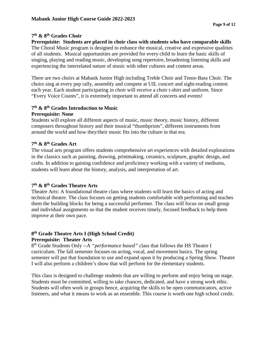# **7th & 8th Grades Choir**

**Prerequisite: Students are placed in choir class with students who have comparable skills** The Choral Music program is designed to enhance the musical, creative and expressive qualities of all students. Musical opportunities are provided for every child to learn the basic skills of singing, playing and reading music, developing song repertoire, broadening listening skills and experiencing the interrelated nature of music with other cultures and content areas.

There are two choirs at Mabank Junior High including Treble Choir and Tenor-Bass Choir. The choirs sing at every pep rally, assembly and compete at UIL concert and sight-reading contest each year. Each student participating in choir will receive a choir t-shirt and uniform. Since "Every Voice Counts", it is extremely important to attend all concerts and events!

# **7th & 8th Grades Introduction to Music**

## **Prerequisite: None**

Students will explore all different aspects of music, music theory, music history, different composers throughout history and their musical "thumbprints", different instruments from around the world and how they/their music fits into the culture in that era.

# **7th & 8th Grades Art**

The visual arts program offers students comprehensive art experiences with detailed explorations in the classics such as painting, drawing, printmaking, ceramics, sculpture, graphic design, and crafts. In addition to gaining confidence and proficiency working with a variety of mediums, students will learn about the history, analysis, and interpretation of art.

# **7th & 8th Grades Theatre Arts**

Theatre Arts: A foundational theatre class where students will learn the basics of acting and technical theatre. The class focuses on getting students comfortable with performing and teaches them the building blocks for being a successful performer. The class will focus on small group and individual assignments so that the student receives timely, focused feedback to help them improve at their own pace.

#### **8th Grade Theatre Arts I (High School Credit) Prerequisite: Theater Arts**

8th Grade Students Only --A *"performance based"* class that follows the HS Theatre I curriculum. The fall semester focuses on acting, vocal, and movement basics. The spring semester will put that foundation to use and expand upon it by producing a Spring Show. Theatre I will also perform a children's show that will perform for the elementary students.

This class is designed to challenge students that are willing to perform and enjoy being on stage. Students must be committed, willing to take chances, dedicated, and have a strong work ethic. Students will often work in groups hence, acquiring the skills to be open communicators, active listeners, and what it means to work as an ensemble. This course is worth one high school credit.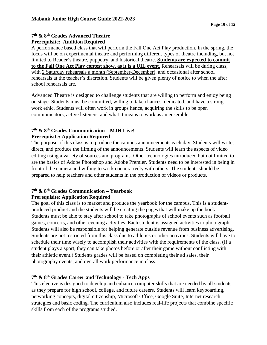## **7th & 8th Grades Advanced Theatre Prerequisite: Audition Required**

A performance based class that will perform the Fall One Act Play production. In the spring, the focus will be on experimental theatre and performing different types of theatre including, but not limited to Reader's theatre, puppetry, and historical theatre. **Students are expected to commit to the Fall One Act Play contest show, as it is a UIL event.** Rehearsals will be during class, with 2 Saturday rehearsals a month (September-December), and occasional after school rehearsals at the teacher's discretion. Students will be given plenty of notice to when the after school rehearsals are.

Advanced Theatre is designed to challenge students that are willing to perform and enjoy being on stage. Students must be committed, willing to take chances, dedicated, and have a strong work ethic. Students will often work in groups hence, acquiring the skills to be open communicators, active listeners, and what it means to work as an ensemble.

# **7th & 8th Grades Communication – MJH Live! Prerequisite: Application Required**

The purpose of this class is to produce the campus announcements each day. Students will write, direct, and produce the filming of the announcements. Students will learn the aspects of video editing using a variety of sources and programs. Other technologies introduced but not limited to are the basics of Adobe Photoshop and Adobe Premier. Students need to be interested in being in front of the camera and willing to work cooperatively with others. The students should be prepared to help teachers and other students in the production of videos or products.

# **7th & 8th Grades Communication – Yearbook Prerequisite: Application Required**

The goal of this class is to market and produce the yearbook for the campus. This is a studentproduced product and the students will be creating the pages that will make up the book. Students must be able to stay after school to take photographs of school events such as football games, concerts, and other evening activities. Each student is assigned activities to photograph. Students will also be responsible for helping generate outside revenue from business advertising. Students are not restricted from this class due to athletics or other activities. Students will have to schedule their time wisely to accomplish their activities with the requirements of the class. (If a student plays a sport, they can take photos before or after their game without conflicting with their athletic event.) Students grades will be based on completing their ad sales, their photography events, and overall work performance in class.

# **7th & 8th Grades Career and Technology - Tech Apps**

This elective is designed to develop and enhance computer skills that are needed by all students as they prepare for high school, college, and future careers. Students will learn keyboarding, networking concepts, digital citizenship, Microsoft Office, Google Suite, Internet research strategies and basic coding. The curriculum also includes real-life projects that combine specific skills from each of the programs studied.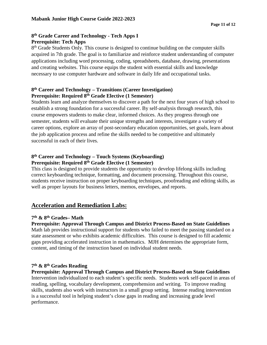# **8th Grade Career and Technology - Tech Apps I Prerequisite: Tech Apps**

8<sup>th</sup> Grade Students Only. This course is designed to continue building on the computer skills acquired in 7th grade. The goal is to familiarize and reinforce student understanding of computer applications including word processing, coding, spreadsheets, database, drawing, presentations and creating websites. This course equips the student with essential skills and knowledge necessary to use computer hardware and software in daily life and occupational tasks.

# **8th Career and Technology – Transitions (Career Investigation) Prerequisite: Required 8th Grade Elective (1 Semester)**

Students learn and analyze themselves to discover a path for the next four years of high school to establish a strong foundation for a successful career. By self-analysis through research, this course empowers students to make clear, informed choices. As they progress through one semester, students will evaluate their unique strengths and interests, investigate a variety of career options, explore an array of post-secondary education opportunities, set goals, learn about the job application process and refine the skills needed to be competitive and ultimately successful in each of their lives.

# **8th Career and Technology – Touch Systems (Keyboarding) Prerequisite: Required 8th Grade Elective (1 Semester)**

This class is designed to provide students the opportunity to develop lifelong skills including correct keyboarding technique, formatting, and document processing. Throughout this course, students receive instruction on proper keyboarding techniques, proofreading and editing skills, as well as proper layouts for business letters, memos, envelopes, and reports.

# <span id="page-10-0"></span>**Acceleration and Remediation Labs:**

# **7th & 8th Grades– Math**

**Prerequisite: Approval Through Campus and District Process-Based on State Guidelines** Math lab provides instructional support for students who failed to meet the passing standard on a state assessment or who exhibits academic difficulties. This course is designed to fill academic gaps providing accelerated instruction in mathematics. MJH determines the appropriate form, content, and timing of the instruction based on individual student needs.

# **7th & 8th Grades Reading**

**Prerequisite: Approval Through Campus and District Process-Based on State Guidelines** Intervention individualized to each student's specific needs. Students work self-paced in areas of reading, spelling, vocabulary development, comprehension and writing. To improve reading skills, students also work with instructors in a small group setting. Intense reading intervention is a successful tool in helping student's close gaps in reading and increasing grade level performance.